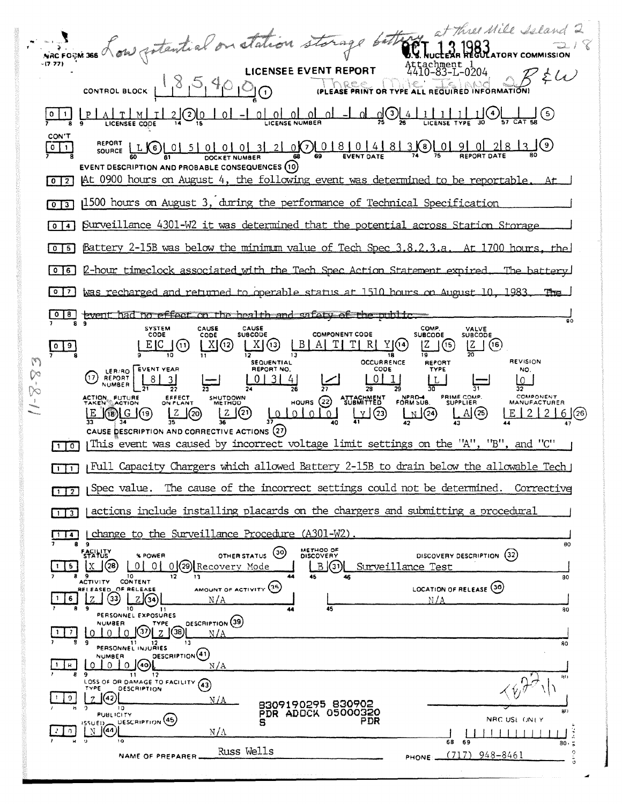NACTORIES Low potential on station storage butter at three will seland 2 CONTROL BLOCK 185400 LICENSEE EVENT REPORT Attachment 1<br>4410-83-L-0204 (PLEASE PRINT OR TYPE ALL REQUIRED INFORMATION  $PLAITMII2QQOIO - IOLOLOQOLO$ <u> ၂</u> (၁)<br>၁ LICENSEE CODE CON'T **REPORT LLG** 0 5 0 0 0 3 2 0 0 8 0 8 2 0 1 4 8 3 0 0 9 0 2 8 1 3 0 0  $\sqrt{2}$ DOCKET NUMBER **EVENT DESCRIPTION AND PROBABLE CONSEQUENCES (10)** [0] 2] At 0900 hours on August 4, the following event was determined to be reportable. At [0] 1500 hours on August 3, during the performance of Technical Specification **[0]4]** Surveillance 4301-W2 it was determined that the potential across Station Storage [0] 5] Battery 2-15B was below the minimum value of Tech Spec 3.8.2.3.a. At 1700 hours. the l **To To 12-hour timeclock associated with the Tech Spec Action Statement expired** The battery [0]7] was recharged and returned to operable status at 1510 hours on August 10, 1983. [0]8] event had no effect on the health and safety of the public. SYSTEM<br>CODE CAUSE CAUSE<br>SUBCODE COMP.<br>SUBCODE VALVE<br>SUBCODE CODE **COMPONENT CODE**  $X(1)$   $B[A]T[T]R[Y(1)]$  $\left|2\right|$   $\left(16\right)$  $|E|C|\eta$  $X(12)$  $\left| \right|$   $(15)$  $\sqrt{0}$  $13$ 18  $\mathcal{F}$ **SEQUENTIAL** OCCURRENCE **REVISION** REPORT  $\begin{array}{c} \text{LER/RO} \\ \text{NUMBER} \end{array} \begin{bmatrix} \text{EVENT YEAR} \\ \text{S} \\ \text{21} \\ \text{12} \end{bmatrix}$ REPORT NO. CODE NO. ŷ٥  $\begin{array}{c|c} 0 & 1 \end{array}$  $[0]3[4]$  $\lfloor 0 \rfloor$  $1-\overline{\otimes}$ COMPONENT<br>MANUFACTURER PRIME COMP.<br>SUPPLIER ACTION FUTURE EFFECT<br>ON PLANT SHUTDOWN<br>METHOD **ATTACHMENT** NPRD-4<br>FORM SUB. HOURS  $(22)$  $101010$  $\bigcup_{42} \mathbb{E} \left( 24 \right)$  $Z(20)$  $Z(2)$ E 2 2 6 2 <u> 7] (3)</u>  $\triangle(25)$  $E(G8)$  $G(G9)$  $\overline{36}$ CAUSE DESCRIPTION AND CORRECTIVE ACTIONS (27) (This event was caused by incorrect voltage limit settings on the "A", "B", and "C"  $\Box$ [1]] Full Capacity Chargers which allowed Battery 2-15B to drain below the allowable Tech ( [17] Spec value. The cause of the incorrect settings could not be determined. Corrective [1] actions include installing placards on the chargers and submitting a procedural [174] Lehange to the Surveillance Procedure (A301-W2) 80 METHOD OF<br>DISCOVERY **FACILITY** OTHER STATUS (30) DISCOVERY DESCRIPTION (32) % POWER 15 X 28 0 0 0 0 29 Recovery Mode Surveillance Test **LBIOL** ACTIVITY CONTENT  $80$ AMOUNT OF ACTIVITY  $(35)$ LOCATION OF RELEASE (36) OF RELEASE **ELEASED**  $\frac{1}{9}$   $\frac{1}{9}$   $\frac{1}{10}$   $\frac{1}{9}$   $\frac{1}{9}$  $1 \mid 6 \mid$  $N/A$ N / A PERSONNEL EXPOSURES 80 LO LO LO PYPE **DESCRIPTION** (39)  $1$   $7$  $N/A$ PERSONNEL INJURIES  $50$ DESCRIPTION<sup>(41)</sup> **NUMBER** <u>0 | 0 | 0 | @|</u>  $1\sqrt{8}$  $N/A$  $\overline{\mathbf{u}}$  $12$ LOSS OF OR DAMAGE TO FACILITY (43) TYPE DESCRIPTION  $2(2)$  $\overline{9}$  $N/A$ 8309190295 830902<br>PDR ADOCK 05000320  $\frac{1}{10}$ DESCRIPTION<sup>(45)</sup> NRC USE ONEY PDR  $\mathbb{N}^{(4)}$ NΛ  $\overline{58}$ Russ Wells  $(717)$  948-8461 NAME OF PREPARER. PHONE: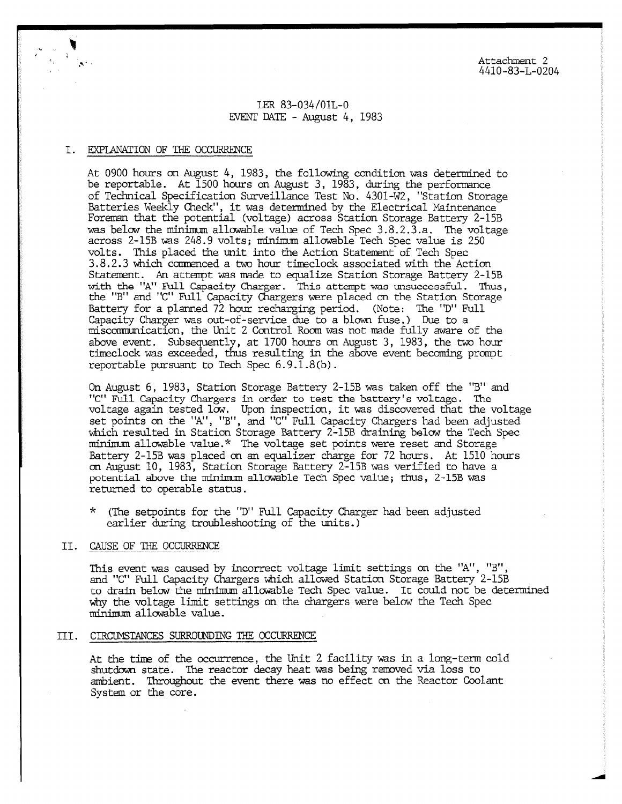# LER 83-034/01L-0 EVENT DATE - August 4, 1983

### I. EXPLANATION OF THE OCCURRENCE

At 0900 hours on August 4, 1983, the following condition was determined to be reportable. At 1500 hours on August 3, 1983, during the performance of Technical Specification Surveillance Test No. 4301-W2, "Station Storage Batteries Weekly Check", it was determined by the Electrical Maintenance Foreman that the potential (voltage) across Station Storage Battery 2-15B was below the minimum allowable value of Tech Spec 3.8.2.3.a. The voltage across 2-15B was 248.9 volts; minimum allowable Tech Spec value is 250 volts. This placed the unit into the Action Statement of Tech Spec 3.8.2.3 which commenced a two hour timeclock associated with the Action Statement. An attempt was made to equalize Station Storage Battery 2-15B with the "A" Full Capacity Charger. This attempt was unsuccessful. Thus, the "B" and "C" Full Capacity Chargers were placed on the Station Storage Battery for a planned 72 hour recharging period. (Note: The 'TY' Full Capacity Charger was out-of-service due to a blown fuse.) Due to a miscommunication, the Unit 2 Control Roam was not made fully aware of the above event. Subsequently, at 1700 hours on August 3, 1983, the two hour timeclock was exceeded, thus resulting in the above event becoming prompt reportable pursuant to Tech Spec 6.9.1.8(b).

On August 6, 1983, Station Storage Battery 2-15B was taken off the "B" and "C" Full Capacity Chargers in order to test the battery's voltage. The voltage again tested low. Upon inspection, it was discovered that the voltage set points on the "A", "B", and "C" Full Capacity Chargers had been adjusted which resulted in Station Storage Battery 2-15B draining below the Tech Spec minimum allowable value.\* The voltage set points were reset and Storage Battery 2-15B was placed on an equalizer charge for 72 hours. At 1510 hours on August 10, 1983, Station Storage Battery 2-15B was verified to have a potential above the minimum allowable Tech Spec value; thus, 2-15B was returned to operable status.

\* (The setpoints for the "D" Full Capacity Charger had been adjusted earlier during troubleshooting of the units.)

#### II. CAUSE OF THE OCCURRENCE

This event was caused by incorrect voltage limit settings on the "A", "B", and "C" Full Capacity Chargers which allowed Station Storage Battery 2-15B to drain below the minimum allowable Tech Spec value. It could not be determined why the voltage limit settings on the chargers were below the Tech Spec minimum allowable value.

### III. CIRCUMSTANCES SURROUNDING THE OCCURRENCE

At the time of the occurrence, the Unit 2 facility was in a long-term cold shutdown state. The reactor decay heat was being removed via loss to ambient. Throughout the event there was no effect on the Reactor Coolant System or the core.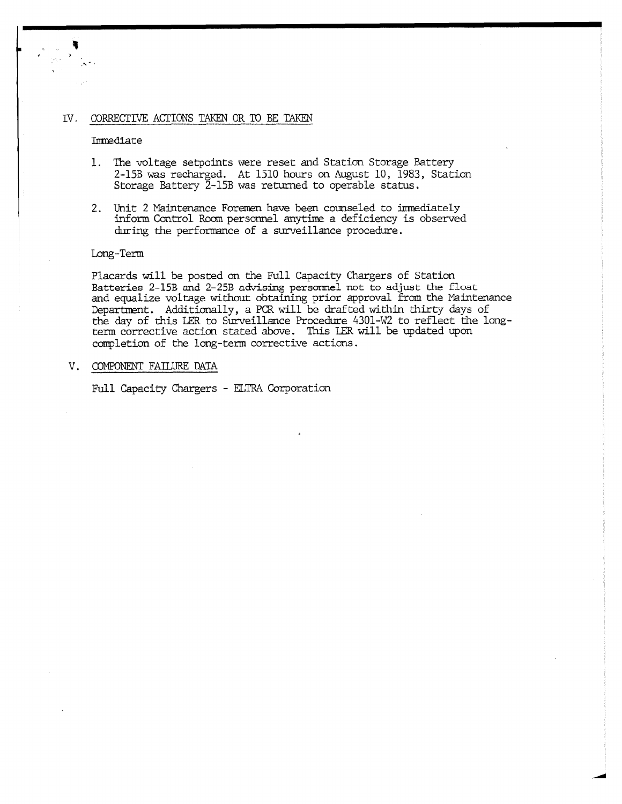# IV. CORRECTIVE ACTIONS TAKEN OR TO BE TAKEN

**Inmediate** 

- 1. The voltage setpoints were reset and Station Storage Battery 2-15B was recharged. At 1510 hours on August 10, 1983, Station Storage Battery 2-15B was returned to operable status.
- 2. Unit 2 Maintenance Foremen have been counseled to immediately inform Control Room personnel anytime a deficiency is observed during the performance of a surveillance procedure.

#### Lang-Term

Placards will be posted on the Full Capacity Chargers of Station Batteries 2-15B and 2-25B advising personnel not to adjust the float and equalize voltage without obtaining prior approval from the Maintenance Department. Additionally, a PCR will be drafted within thirty days of the day of this LER to Surveillance Procedure 4301-W2 to reflect the longterm corrective action stated above. This LER will be updated upon completion of the long-term corrective actions.

V. COMPONENT FAILURE DATA

Full Capacity Chargers - ELTRA Corporation